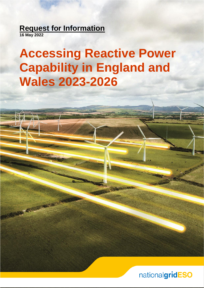**Request for Information**

**16 May 2022**

# **Accessing Reactive Power Capability in England and Wales 2023-2026**

nationalgridESO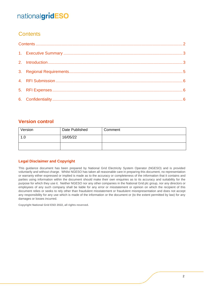### <span id="page-1-0"></span>**Contents**

### **Version control**

| Version | Date Published | Comment |
|---------|----------------|---------|
| 1.0     | 16/05/22       |         |
|         |                |         |

#### **Legal Disclaimer and Copyright**

This guidance document has been prepared by National Grid Electricity System Operator (NGESO) and is provided voluntarily and without charge. Whilst NGESO has taken all reasonable care in preparing this document, no representation or warranty either expressed or implied is made as to the accuracy or completeness of the information that it contains and parties using information within the document should make their own enquiries as to its accuracy and suitability for the purpose for which they use it. Neither NGESO nor any other companies in the National Grid plc group, nor any directors or employees of any such company shall be liable for any error or misstatement or opinion on which the recipient of this document relies or seeks to rely other than fraudulent misstatement or fraudulent misrepresentation and does not accept any responsibility for any use which is made of the information or the document or (to the extent permitted by law) for any damages or losses incurred.

**Copyright National Grid ESO 2022, all rights reserved.**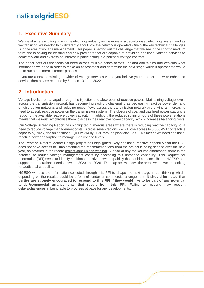### <span id="page-2-0"></span>**1. Executive Summary**

We are at a very exciting time in the electricity industry as we move to a decarbonised electricity system and as we transition, we need to think differently about how the network is operated. One of the key technical challenges is in the area of voltage management. This paper is setting out the challenge that we see in the short to medium term and is asking for existing and new providers that are capable of providing additional voltage services to come forward and express an interest in participating in a potential voltage contract.

The paper sets out the technical need across multiple zones across England and Wales and explains what information we need in order to make an assessment and determine the next stage which if appropriate would be to run a commercial tender process.

If you are a new or existing provider of voltage services where you believe you can offer a new or enhanced service, then please respond by 5pm on 13 June 2022.

#### <span id="page-2-1"></span>**2. Introduction**

Voltage levels are managed through the injection and absorption of reactive power. Maintaining voltage levels across the transmission network has become increasingly challenging as decreasing reactive power demand on distribution networks and reducing power flows across the transmission network are driving an increasing need to absorb reactive power on the transmission system. The closure of coal and gas fired power stations is reducing the available reactive power capacity. In addition, the reduced running hours of these power stations means that we must synchronise them to access their reactive power capacity, which increases balancing costs.

Our [Voltage Screening Report](https://www.nationalgrideso.com/document/196326/download) has highlighted numerous areas where there is reducing reactive capacity, or a need to reduce voltage management costs. Across seven regions we will lose access to 3,600MVAr of reactive capacity by 2025, and an additional 1,000MVAr by 2030 through plant closures. This means we need additional reactive power absorption to manage high voltage levels.

The [Reactive Reform Market Design](https://www.nationalgrideso.com/balancing-services/reactive-power-services/reactive-reform-market-design) project has highlighted likely additional reactive capability that the ESO does not have access to. Implementing the recommendations from the project is being scoped over the next year, as covered in the recent [project conclusions webinar.](https://www.nationalgrideso.com/document/249851/download) Ahead of any market implementation, there is the potential to reduce voltage management costs by accessing this untapped capability. This Request for Information (RFI) seeks to identify additional reactive power capability that could be accessible to NGESO and support our operational needs between 2023 and 2026. The map below shows the areas where we are looking for additional capability.

NGESO will use the information collected through this RFI to shape the next stage in our thinking which, depending on the results, could be a form of tender or commercial arrangement. **It should be noted that parties are strongly encouraged to respond to this RFI if they would like to be part of any potential tender/commercial arrangements that result from this RFI.** Failing to respond may present delays/challenges in being able to progress at pace for any developments.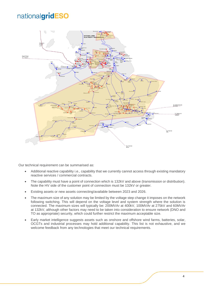

Our technical requirement can be summarised as:

- Additional reactive capability i.e., capability that we currently cannot access through existing mandatory reactive services / commercial contracts.
- The capability must have a point of connection which is 132kV and above (transmission or distribution). Note the HV side of the customer point of connection must be 132kV or greater.
- Existing assets or new assets connecting/available between 2023 and 2026.
- The maximum size of any solution may be limited by the voltage step change it imposes on the network following switching. This will depend on the voltage level and system strength where the solution is connected. The maximum sizes will typically be: 200MVAr at 400kV, 100MVAr at 275kV and 60MVAr at 132kV, although other factors may need to be taken into consideration to ensure network (DNO and TO as appropriate) security, which could further restrict the maximum acceptable size.
- Early market intelligence suggests assets such as onshore and offshore wind farms, batteries, solar, OCGTs and industrial processes may hold additional capability. This list is not exhaustive, and we welcome feedback from any technologies that meet our technical requirements.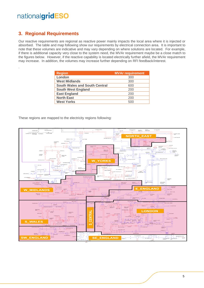.

### <span id="page-4-0"></span>**3. Regional Requirements**

Our reactive requirements are regional as reactive power mainly impacts the local area where it is injected or absorbed. The table and map following show our requirements by electrical connection area. It is important to note that these volumes are indicative and may vary depending on where solutions are located. For example, if there is additional capacity very close to the system need, the MVAr requirement maybe be a close match to the figures below. However, if the reactive capability is located electrically further afield, the MVAr requirement may increase. In addition, the volumes may increase further depending on RFI feedback/interest.

| <b>Region</b>                        | <b>MVAr requirement</b> |
|--------------------------------------|-------------------------|
| London                               | 300                     |
| <b>West Midlands</b>                 | 300                     |
| <b>South Wales and South Central</b> | 600                     |
| <b>South West England</b>            | 200                     |
| <b>East England</b>                  | 200                     |
| <b>North East</b>                    | 200                     |
| <b>West Yorks</b>                    | 500                     |

These regions are mapped to the electricity regions following: